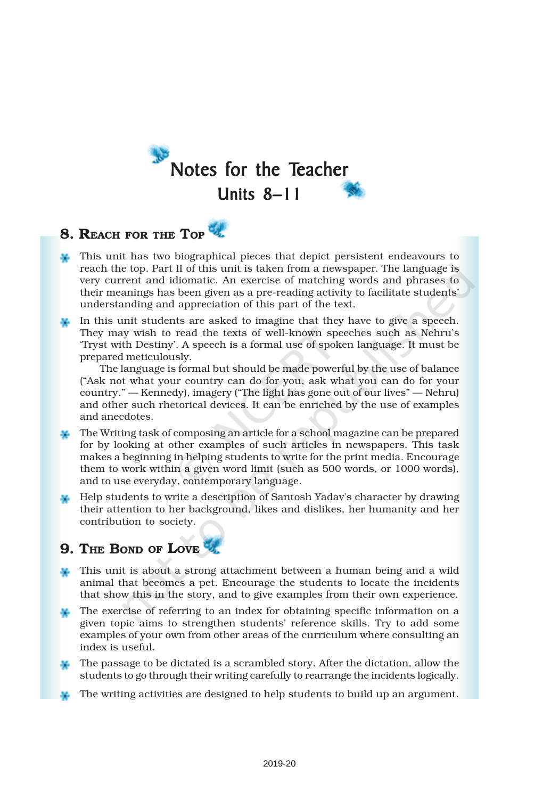

### 8. REACH FOR THE TOP

- This unit has two biographical pieces that depict persistent endeavours to reach the top. Part II of this unit is taken from a newspaper. The language is very current and idiomatic. An exercise of matching words and phrases to their meanings has been given as a pre-reading activity to facilitate students' understanding and appreciation of this part of the text.
- In this unit students are asked to imagine that they have to give a speech. They may wish to read the texts of well-known speeches such as Nehru's 'Tryst with Destiny'. A speech is a formal use of spoken language. It must be prepared meticulously.

The language is formal but should be made powerful by the use of balance ("Ask not what your country can do for you, ask what you can do for your country." — Kennedy), imagery ("The light has gone out of our lives" — Nehru) and other such rhetorical devices. It can be enriched by the use of examples and anecdotes.

- The Writing task of composing an article for a school magazine can be prepared for by looking at other examples of such articles in newspapers. This task makes a beginning in helping students to write for the print media. Encourage them to work within a given word limit (such as 500 words, or 1000 words), and to use everyday, contemporary language.
- Help students to write a description of Santosh Yadav's character by drawing their attention to her background, likes and dislikes, her humanity and her contribution to society.

## 9. THE BOND OF LOVE

- This unit is about a strong attachment between a human being and a wild animal that becomes a pet. Encourage the students to locate the incidents that show this in the story, and to give examples from their own experience.
- The exercise of referring to an index for obtaining specific information on a given topic aims to strengthen students' reference skills. Try to add some examples of your own from other areas of the curriculum where consulting an index is useful.
- The passage to be dictated is a scrambled story. After the dictation, allow the students to go through their writing carefully to rearrange the incidents logically.
- The writing activities are designed to help students to build up an argument.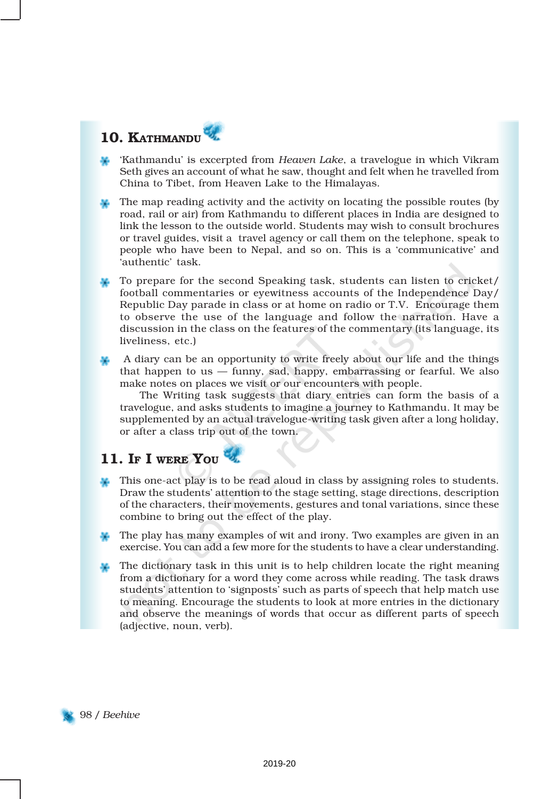## 10. KATHMANDU

- 'Kathmandu' is excerpted from *Heaven Lake*, a travelogue in which Vikram Seth gives an account of what he saw, thought and felt when he travelled from China to Tibet, from Heaven Lake to the Himalayas.
- The map reading activity and the activity on locating the possible routes (by road, rail or air) from Kathmandu to different places in India are designed to link the lesson to the outside world. Students may wish to consult brochures or travel guides, visit a travel agency or call them on the telephone, speak to people who have been to Nepal, and so on. This is a 'communicative' and 'authentic' task.
- To prepare for the second Speaking task, students can listen to cricket/ football commentaries or eyewitness accounts of the Independence Day/ Republic Day parade in class or at home on radio or T.V. Encourage them to observe the use of the language and follow the narration. Have a discussion in the class on the features of the commentary (its language, its liveliness, etc.)
- A diary can be an opportunity to write freely about our life and the things that happen to us — funny, sad, happy, embarrassing or fearful. We also make notes on places we visit or our encounters with people.

The Writing task suggests that diary entries can form the basis of a travelogue, and asks students to imagine a journey to Kathmandu. It may be supplemented by an actual travelogue-writing task given after a long holiday, or after a class trip out of the town.

## 11. IF I WERE YOU

- This one-act play is to be read aloud in class by assigning roles to students. Draw the students' attention to the stage setting, stage directions, description of the characters, their movements, gestures and tonal variations, since these combine to bring out the effect of the play.
- The play has many examples of wit and irony. Two examples are given in an exercise. You can add a few more for the students to have a clear understanding.
- The dictionary task in this unit is to help children locate the right meaning from a dictionary for a word they come across while reading. The task draws students' attention to 'signposts' such as parts of speech that help match use to meaning. Encourage the students to look at more entries in the dictionary and observe the meanings of words that occur as different parts of speech (adjective, noun, verb).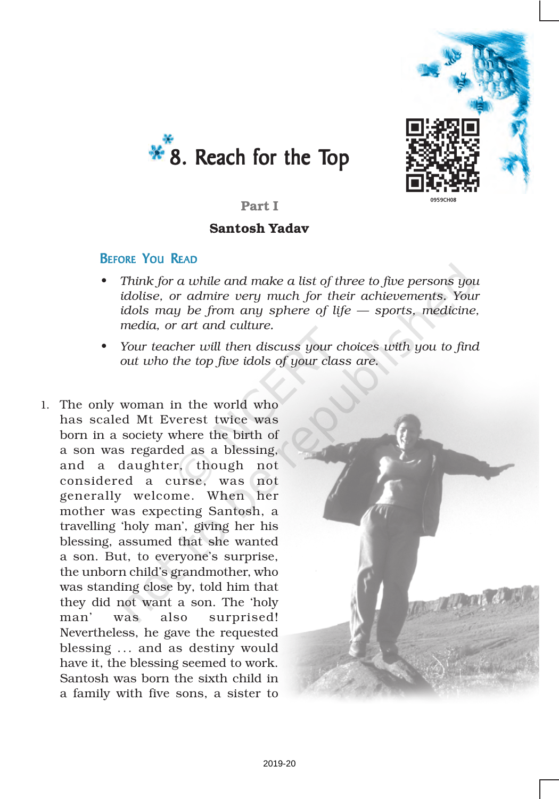



### Part I

### Santosh Yadav

### BEFORE YOU READ

- *• Think for a while and make a list of three to five persons you idolise, or admire very much for their achievements. Your idols may be from any sphere of life — sports, medicine, media, or art and culture.*
- *• Your teacher will then discuss your choices with you to find out who the top five idols of your class are.*
- 1. The only woman in the world who has scaled Mt Everest twice was born in a society where the birth of a son was regarded as a blessing, and a daughter, though not considered a curse, was not generally welcome. When her mother was expecting Santosh, a travelling 'holy man', giving her his blessing, assumed that she wanted a son. But, to everyone's surprise, the unborn child's grandmother, who was standing close by, told him that they did not want a son. The 'holy man' was also surprised! Nevertheless, he gave the requested blessing ... and as destiny would have it, the blessing seemed to work. Santosh was born the sixth child in a family with five sons, a sister to

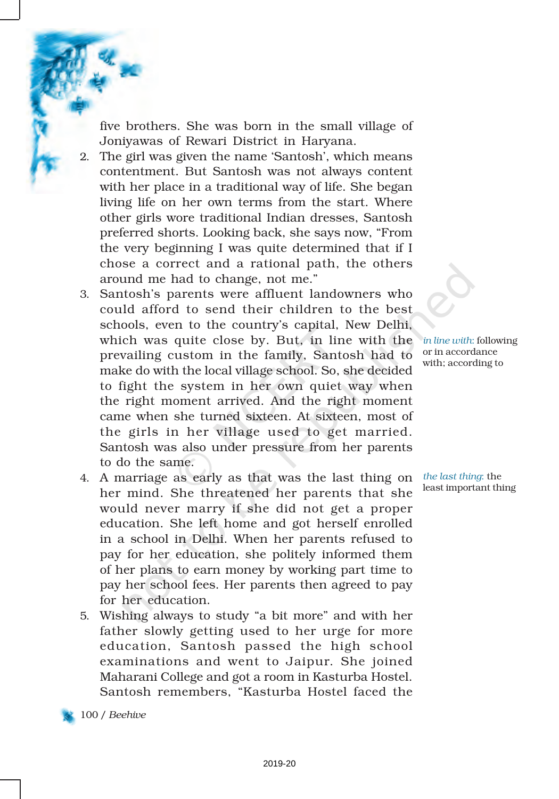five brothers. She was born in the small village of Joniyawas of Rewari District in Haryana.

- 2. The girl was given the name 'Santosh', which means contentment. But Santosh was not always content with her place in a traditional way of life. She began living life on her own terms from the start. Where other girls wore traditional Indian dresses, Santosh preferred shorts. Looking back, she says now, "From the very beginning I was quite determined that if I chose a correct and a rational path, the others around me had to change, not me."
- 3. Santosh's parents were affluent landowners who could afford to send their children to the best schools, even to the country's capital, New Delhi, which was quite close by. But, in line with the prevailing custom in the family, Santosh had to make do with the local village school. So, she decided to fight the system in her own quiet way when the right moment arrived. And the right moment came when she turned sixteen. At sixteen, most of the girls in her village used to get married. Santosh was also under pressure from her parents to do the same.
- 4. A marriage as early as that was the last thing on her mind. She threatened her parents that she would never marry if she did not get a proper education. She left home and got herself enrolled in a school in Delhi. When her parents refused to pay for her education, she politely informed them of her plans to earn money by working part time to pay her school fees. Her parents then agreed to pay for her education.
- 5. Wishing always to study "a bit more" and with her father slowly getting used to her urge for more education, Santosh passed the high school examinations and went to Jaipur. She joined Maharani College and got a room in Kasturba Hostel. Santosh remembers, "Kasturba Hostel faced the

*in line with*: following or in accordance with; according to

*the last thing*: the least important thing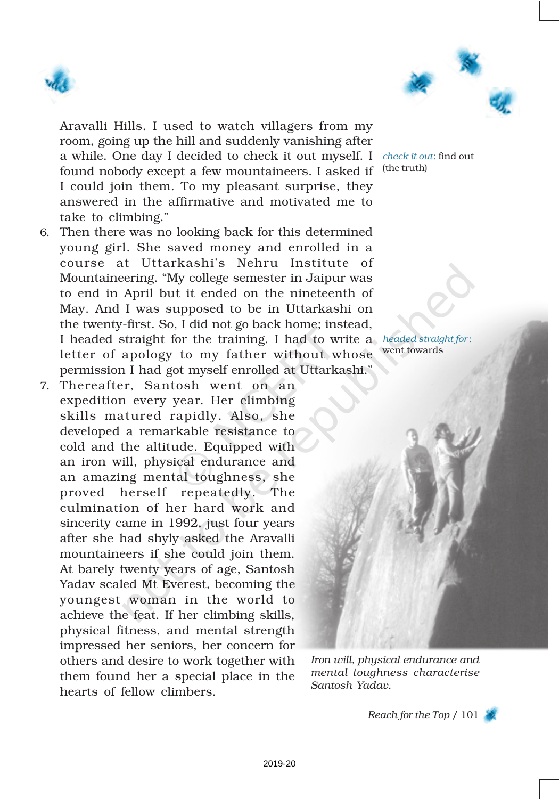



Aravalli Hills. I used to watch villagers from my room, going up the hill and suddenly vanishing after a while. One day I decided to check it out myself. I *check it out*: find out found nobody except a few mountaineers. I asked if <sup>(the truth)</sup> I could join them. To my pleasant surprise, they answered in the affirmative and motivated me to take to climbing."

- 6. Then there was no looking back for this determined young girl. She saved money and enrolled in a course at Uttarkashi's Nehru Institute of Mountaineering. "My college semester in Jaipur was to end in April but it ended on the nineteenth of May. And I was supposed to be in Uttarkashi on the twenty-first. So, I did not go back home; instead, I headed straight for the training. I had to write a *headed straight for* : letter of apology to my father without whose went towards permission I had got myself enrolled at Uttarkashi."
- 7. Thereafter, Santosh went on an expedition every year. Her climbing skills matured rapidly. Also, she developed a remarkable resistance to cold and the altitude. Equipped with an iron will, physical endurance and an amazing mental toughness, she proved herself repeatedly. The culmination of her hard work and sincerity came in 1992, just four years after she had shyly asked the Aravalli mountaineers if she could join them. At barely twenty years of age, Santosh Yadav scaled Mt Everest, becoming the youngest woman in the world to achieve the feat. If her climbing skills, physical fitness, and mental strength impressed her seniors, her concern for others and desire to work together with them found her a special place in the hearts of fellow climbers.

*Iron will, physical endurance and mental toughness characterise Santosh Yadav.*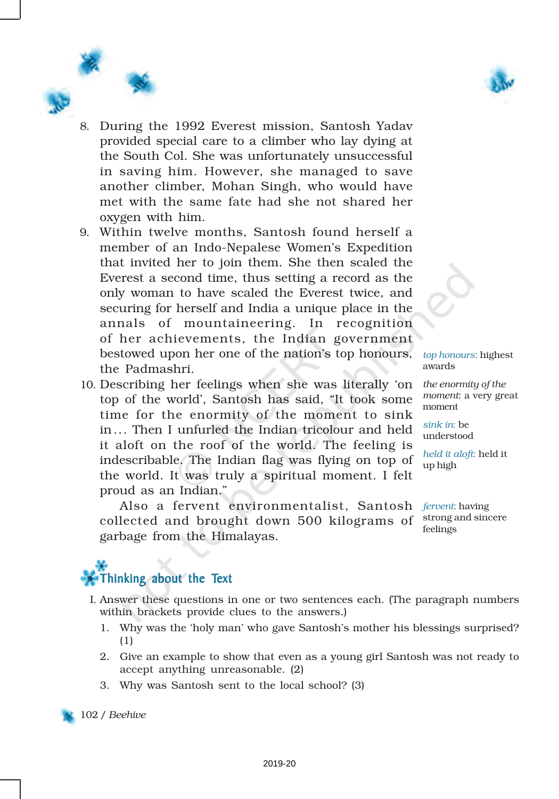



- 8. During the 1992 Everest mission, Santosh Yadav provided special care to a climber who lay dying at the South Col. She was unfortunately unsuccessful in saving him. However, she managed to save another climber, Mohan Singh, who would have met with the same fate had she not shared her oxygen with him.
- 9. Within twelve months, Santosh found herself a member of an Indo-Nepalese Women's Expedition that invited her to join them. She then scaled the Everest a second time, thus setting a record as the only woman to have scaled the Everest twice, and securing for herself and India a unique place in the annals of mountaineering. In recognition of her achievements, the Indian government bestowed upon her one of the nation's top honours, the Padmashri.
- 10. Describing her feelings when she was literally 'on top of the world', Santosh has said, "It took some time for the enormity of the moment to sink in... Then I unfurled the Indian tricolour and held it aloft on the roof of the world. The feeling is indescribable. The Indian flag was flying on top of the world. It was truly a spiritual moment. I felt proud as an Indian."

*top honours*: highest awards

*the enormity of the moment*: a very great moment

*sink in*: be understood

*held it aloft*: held it up high

Also a fervent environmentalist, Santosh *fervent*: having collected and brought down 500 kilograms of garbage from the Himalayas. strong and sincere feelings



- I. Answer these questions in one or two sentences each. (The paragraph numbers within brackets provide clues to the answers.)
	- 1. Why was the 'holy man' who gave Santosh's mother his blessings surprised? (1)
	- 2. Give an example to show that even as a young girl Santosh was not ready to accept anything unreasonable. (2)
	- 3. Why was Santosh sent to the local school? (3)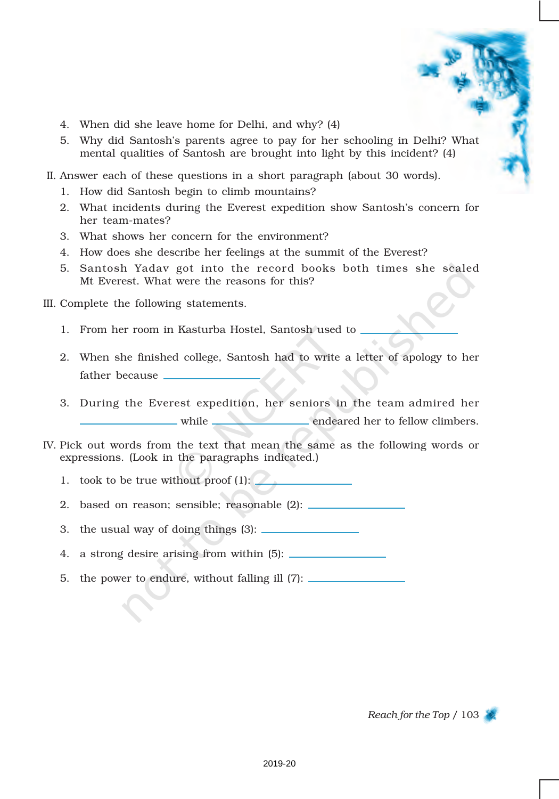- 4. When did she leave home for Delhi, and why? (4)
- 5. Why did Santosh's parents agree to pay for her schooling in Delhi? What mental qualities of Santosh are brought into light by this incident? (4)
- II. Answer each of these questions in a short paragraph (about 30 words).
	- 1. How did Santosh begin to climb mountains?
	- 2. What incidents during the Everest expedition show Santosh's concern for her team-mates?
	- 3. What shows her concern for the environment?
	- 4. How does she describe her feelings at the summit of the Everest?
	- 5. Santosh Yadav got into the record books both times she scaled Mt Everest. What were the reasons for this?

III. Complete the following statements.

- 1. From her room in Kasturba Hostel, Santosh used to
- 2. When she finished college, Santosh had to write a letter of apology to her father because
- 3. During the Everest expedition, her seniors in the team admired her while endeared her to fellow climbers.
- IV. Pick out words from the text that mean the same as the following words or expressions. (Look in the paragraphs indicated.)
	- 1. took to be true without proof (1):
	- 2. based on reason; sensible; reasonable (2):
	- 3. the usual way of doing things (3):
	- 4. a strong desire arising from within (5):
	- 5. the power to endure, without falling ill (7):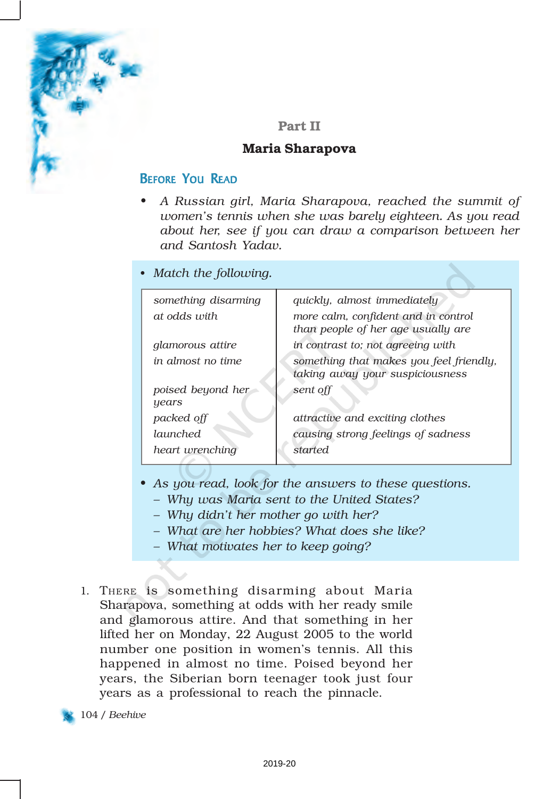

### Part II

### Maria Sharapova

### BEFORE YOU READ

• *A Russian girl, Maria Sharapova, reached the summit of women's tennis when she was barely eighteen. As you read about her, see if you can draw a comparison between her and Santosh Yadav.*

| • Match the following.     |                                                                            |
|----------------------------|----------------------------------------------------------------------------|
| something disarming        | quickly, almost immediately                                                |
| at odds with               | more calm, confident and in control<br>than people of her age usually are  |
| <i>alamorous attire</i>    | in contrast to; not agreeing with                                          |
| in almost no time          | something that makes you feel friendly,<br>taking away your suspiciousness |
| poised beyond her<br>years | sent off                                                                   |
| packed off                 | attractive and exciting clothes                                            |
| launched                   | causing strong feelings of sadness                                         |
| heart wrenching            | <i>started</i>                                                             |

- *• As you read, look for the answers to these questions.*
	- *– Why was Maria sent to the United States?*
	- *– Why didn't her mother go with her?*
	- *– What are her hobbies? What does she like?*
	- *– What motivates her to keep going?*
- 1. THERE is something disarming about Maria Sharapova, something at odds with her ready smile and glamorous attire. And that something in her lifted her on Monday, 22 August 2005 to the world number one position in women's tennis. All this happened in almost no time. Poised beyond her years, the Siberian born teenager took just four years as a professional to reach the pinnacle.

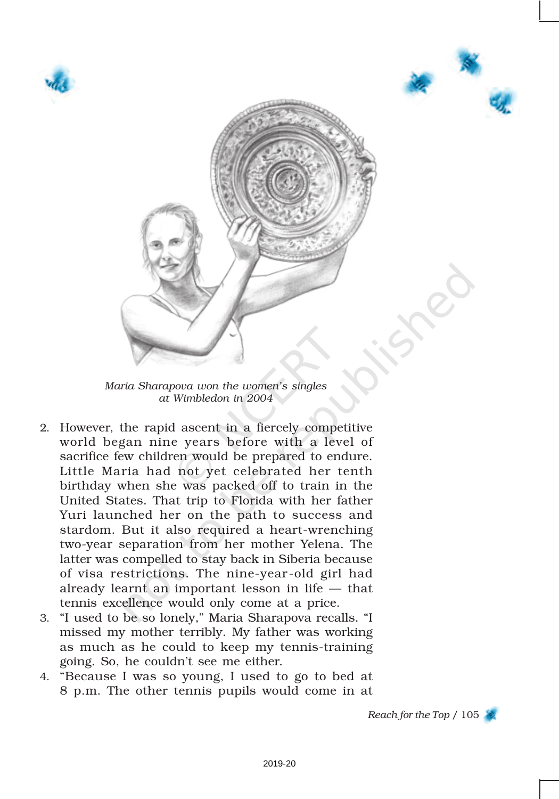





*Maria Sharapova won the women's singles at Wimbledon in 2004*

- 2. However, the rapid ascent in a fiercely competitive world began nine years before with a level of sacrifice few children would be prepared to endure. Little Maria had not yet celebrated her tenth birthday when she was packed off to train in the United States. That trip to Florida with her father Yuri launched her on the path to success and stardom. But it also required a heart-wrenching two-year separation from her mother Yelena. The latter was compelled to stay back in Siberia because of visa restrictions. The nine-year-old girl had already learnt an important lesson in life — that tennis excellence would only come at a price.
- 3. "I used to be so lonely," Maria Sharapova recalls. "I missed my mother terribly. My father was working as much as he could to keep my tennis-training going. So, he couldn't see me either.
- 4. "Because I was so young, I used to go to bed at 8 p.m. The other tennis pupils would come in at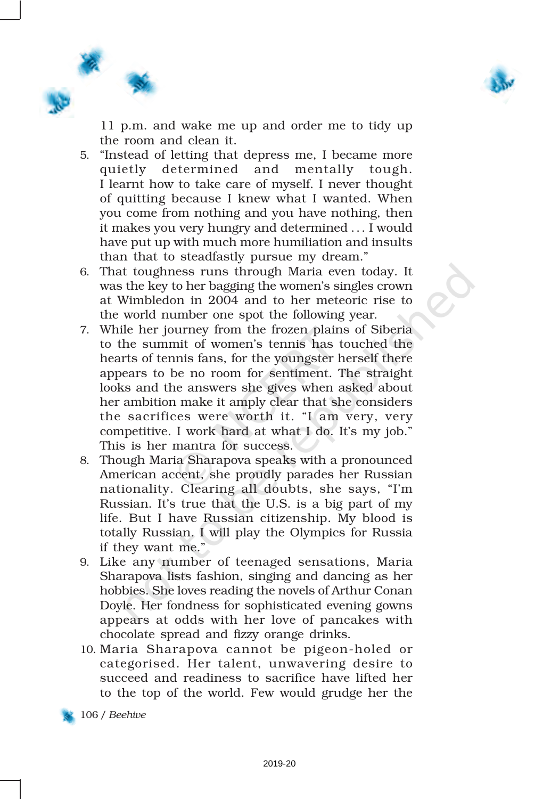

11 p.m. and wake me up and order me to tidy up the room and clean it.

- 5. "Instead of letting that depress me, I became more quietly determined and mentally tough. I learnt how to take care of myself. I never thought of quitting because I knew what I wanted. When you come from nothing and you have nothing, then it makes you very hungry and determined ... I would have put up with much more humiliation and insults than that to steadfastly pursue my dream."
- 6. That toughness runs through Maria even today. It was the key to her bagging the women's singles crown at Wimbledon in 2004 and to her meteoric rise to the world number one spot the following year.
- 7. While her journey from the frozen plains of Siberia to the summit of women's tennis has touched the hearts of tennis fans, for the youngster herself there appears to be no room for sentiment. The straight looks and the answers she gives when asked about her ambition make it amply clear that she considers the sacrifices were worth it. "I am very, very competitive. I work hard at what I do. It's my job." This is her mantra for success.
- 8. Though Maria Sharapova speaks with a pronounced American accent, she proudly parades her Russian nationality. Clearing all doubts, she says, "I'm Russian. It's true that the U.S. is a big part of my life. But I have Russian citizenship. My blood is totally Russian. I will play the Olympics for Russia if they want me."
- 9. Like any number of teenaged sensations, Maria Sharapova lists fashion, singing and dancing as her hobbies. She loves reading the novels of Arthur Conan Doyle. Her fondness for sophisticated evening gowns appears at odds with her love of pancakes with chocolate spread and fizzy orange drinks.
- 10. Maria Sharapova cannot be pigeon-holed or categorised. Her talent, unwavering desire to succeed and readiness to sacrifice have lifted her to the top of the world. Few would grudge her the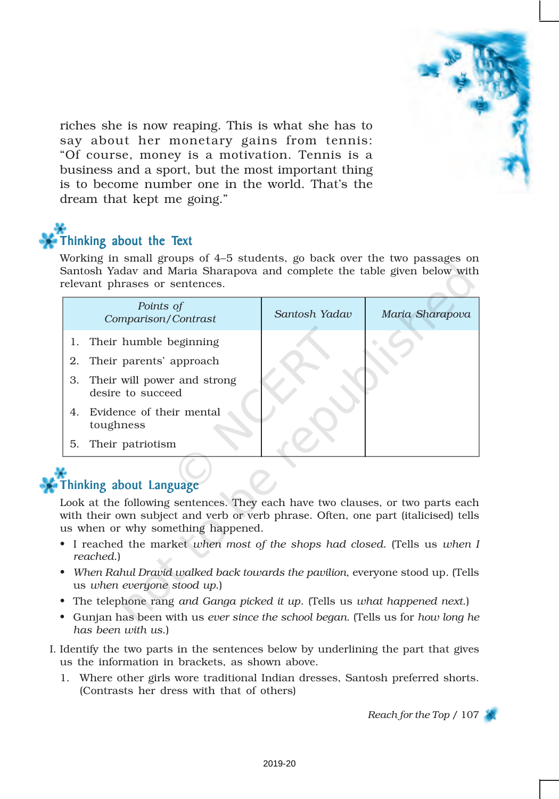

riches she is now reaping. This is what she has to say about her monetary gains from tennis: "Of course, money is a motivation. Tennis is a business and a sport, but the most important thing is to become number one in the world. That's the dream that kept me going."

# Thinking about the Text

Working in small groups of 4–5 students, go back over the two passages on Santosh Yadav and Maria Sharapova and complete the table given below with relevant phrases or sentences.

|    | Points of<br>Comparison/Contrast                        | Santosh Yadav | Maria Sharapova |
|----|---------------------------------------------------------|---------------|-----------------|
|    | 1. Their humble beginning<br>2. Their parents' approach |               |                 |
|    | 3. Their will power and strong<br>desire to succeed     |               |                 |
| 4. | Evidence of their mental<br>toughness                   |               |                 |
| 5. | Their patriotism                                        |               |                 |

## Thinking about Language

Look at the following sentences. They each have two clauses, or two parts each with their own subject and verb or verb phrase. Often, one part (italicised) tells us when or why something happened.

- I reached the market *when most of the shops had closed.* (Tells us *when I reached*.)
- *When Rahul Dravid walked back towards the pavilion*, everyone stood up. (Tells us *when everyone stood up*.)
- The telephone rang *and Ganga picked it up*. (Tells us *what happened next*.)
- Gunjan has been with us *ever since the school began*. (Tells us for *how long he has been with us*.)
- I. Identify the two parts in the sentences below by underlining the part that gives us the information in brackets, as shown above.
	- 1. Where other girls wore traditional Indian dresses, Santosh preferred shorts. (Contrasts her dress with that of others)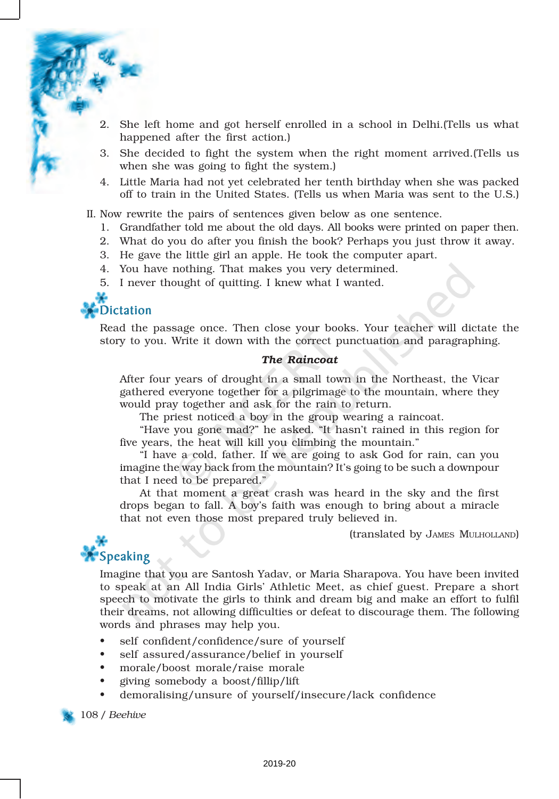- 2. She left home and got herself enrolled in a school in Delhi.(Tells us what happened after the first action.)
- 3. She decided to fight the system when the right moment arrived.(Tells us when she was going to fight the system.)
- 4. Little Maria had not yet celebrated her tenth birthday when she was packed off to train in the United States. (Tells us when Maria was sent to the U.S.)

II. Now rewrite the pairs of sentences given below as one sentence.

- 1. Grandfather told me about the old days. All books were printed on paper then.
- 2. What do you do after you finish the book? Perhaps you just throw it away.
- 3. He gave the little girl an apple. He took the computer apart.
- 4. You have nothing. That makes you very determined.
- 5. I never thought of quitting. I knew what I wanted.



Read the passage once. Then close your books. Your teacher will dictate the story to you. Write it down with the correct punctuation and paragraphing.

#### *The Raincoat*

After four years of drought in a small town in the Northeast, the Vicar gathered everyone together for a pilgrimage to the mountain, where they would pray together and ask for the rain to return.

The priest noticed a boy in the group wearing a raincoat.

"Have you gone mad?" he asked. "It hasn't rained in this region for five years, the heat will kill you climbing the mountain."

"I have a cold, father. If we are going to ask God for rain, can you imagine the way back from the mountain? It's going to be such a downpour that I need to be prepared."

At that moment a great crash was heard in the sky and the first drops began to fall. A boy's faith was enough to bring about a miracle that not even those most prepared truly believed in.

(translated by JAMES MULHOLLAND)



Imagine that you are Santosh Yadav, or Maria Sharapova. You have been invited to speak at an All India Girls' Athletic Meet, as chief guest. Prepare a short speech to motivate the girls to think and dream big and make an effort to fulfil their dreams, not allowing difficulties or defeat to discourage them. The following words and phrases may help you.

- self confident/confidence/sure of yourself
- self assured/assurance/belief in yourself
- morale/boost morale/raise morale
- giving somebody a boost/fillip/lift
- demoralising/unsure of yourself/insecure/lack confidence

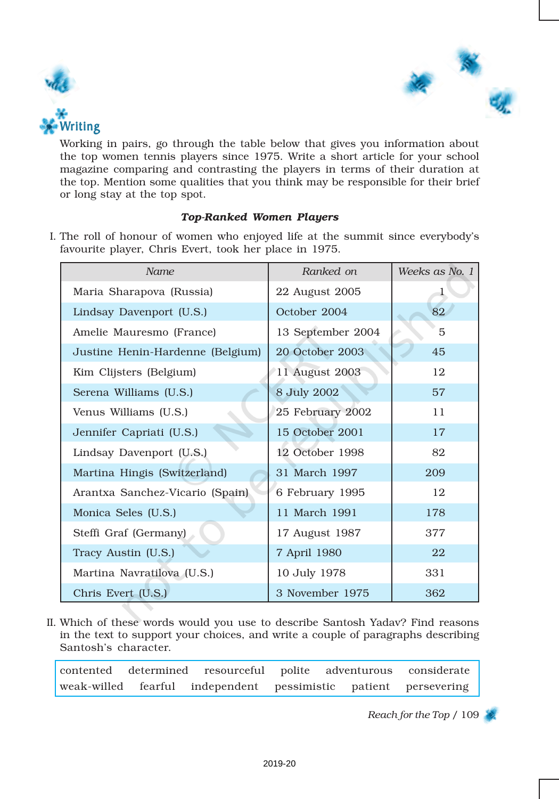



Working in pairs, go through the table below that gives you information about the top women tennis players since 1975. Write a short article for your school magazine comparing and contrasting the players in terms of their duration at the top. Mention some qualities that you think may be responsible for their brief or long stay at the top spot.

### *Top-Ranked Women Players*

I. The roll of honour of women who enjoyed life at the summit since everybody's favourite player, Chris Evert, took her place in 1975.

| Name                             | Ranked on         | Weeks as No. 1 |
|----------------------------------|-------------------|----------------|
| Maria Sharapova (Russia)         | 22 August 2005    | ı              |
| Lindsay Davenport (U.S.)         | October 2004      | 82             |
| Amelie Mauresmo (France)         | 13 September 2004 | 5              |
| Justine Henin-Hardenne (Belgium) | 20 October 2003   | 45             |
| Kim Clijsters (Belgium)          | 11 August 2003    | 12             |
| Serena Williams (U.S.)           | 8 July 2002       | 57             |
| Venus Williams (U.S.)            | 25 February 2002  | 11             |
| Jennifer Capriati (U.S.)         | 15 October 2001   | 17             |
| Lindsay Davenport (U.S.)         | 12 October 1998   | 82             |
| Martina Hingis (Switzerland)     | 31 March 1997     | 209            |
| Arantxa Sanchez-Vicario (Spain)  | 6 February 1995   | 12             |
| Monica Seles (U.S.)              | 11 March 1991     | 178            |
| Steffi Graf (Germany)            | 17 August 1987    | 377            |
| Tracy Austin (U.S.)              | 7 April 1980      | 22             |
| Martina Navratilova (U.S.)       | 10 July 1978      | 331            |
| Chris Evert (U.S.)               | 3 November 1975   | 362            |

II. Which of these words would you use to describe Santosh Yadav? Find reasons in the text to support your choices, and write a couple of paragraphs describing Santosh's character.

contented determined resourceful polite adventurous considerate weak-willed fearful independent pessimistic patient persevering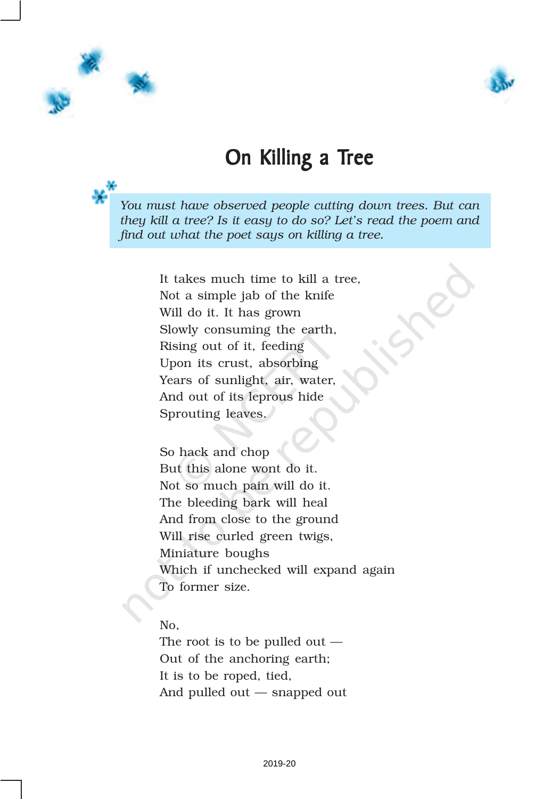



# On Killing a Tree

*You must have observed people cutting down trees. But can they kill a tree? Is it easy to do so? Let's read the poem and find out what the poet says on killing a tree.*

> It takes much time to kill a tree, Not a simple jab of the knife Will do it. It has grown Slowly consuming the earth, Rising out of it, feeding Upon its crust, absorbing Years of sunlight, air, water, And out of its leprous hide Sprouting leaves.

So hack and chop But this alone wont do it. Not so much pain will do it. The bleeding bark will heal And from close to the ground Will rise curled green twigs, Miniature boughs Which if unchecked will expand again To former size.

### No,

The root is to be pulled out — Out of the anchoring earth; It is to be roped, tied, And pulled out — snapped out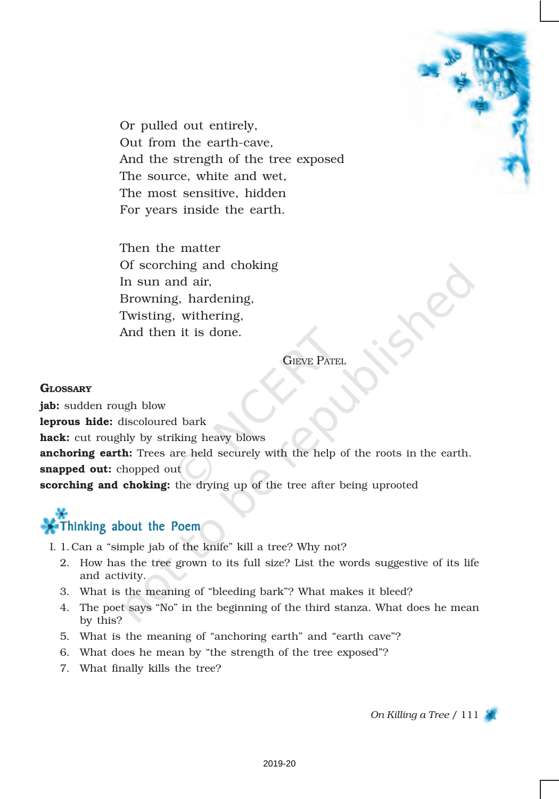

Or pulled out entirely, Out from the earth-cave, And the strength of the tree exposed The source, white and wet, The most sensitive, hidden For years inside the earth.

Then the matter Of scorching and choking In sun and air, Browning, hardening, Twisting, withering, And then it is done.

**GIEVE PATEL** 

### **GLOSSARY**

jab: sudden rough blow leprous hide: discoloured bark hack: cut roughly by striking heavy blows anchoring earth: Trees are held securely with the help of the roots in the earth. snapped out: chopped out scorching and choking: the drying up of the tree after being uprooted

# Thinking about the Poem

- I. 1. Can a "simple jab of the knife" kill a tree? Why not?
	- 2. How has the tree grown to its full size? List the words suggestive of its life and activity.
	- 3. What is the meaning of "bleeding bark"? What makes it bleed?
	- 4. The poet says "No" in the beginning of the third stanza. What does he mean by this?
	- 5. What is the meaning of "anchoring earth" and "earth cave"?
	- 6. What does he mean by "the strength of the tree exposed"?
	- 7. What finally kills the tree?

*On Killing a Tree* / 111